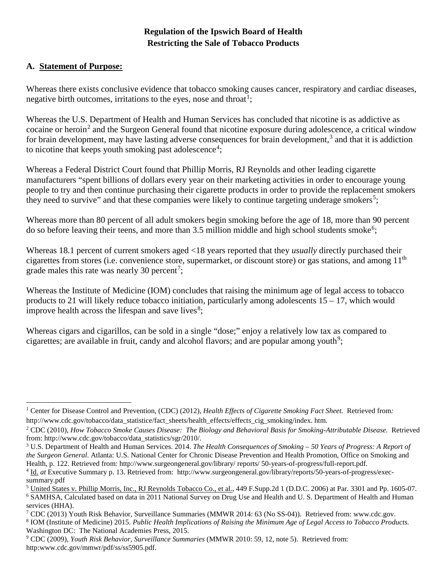# **Regulation of the Ipswich Board of Health Restricting the Sale of Tobacco Products**

#### **A. Statement of Purpose:**

 $\overline{a}$ 

Whereas there exists conclusive evidence that tobacco smoking causes cancer, respiratory and cardiac diseases, negative birth outcomes, irritations to the eyes, nose and throat<sup>[1](#page-0-0)</sup>;

Whereas the U.S. Department of Health and Human Services has concluded that nicotine is as addictive as cocaine or heroin<sup>[2](#page-0-1)</sup> and the Surgeon General found that nicotine exposure during adolescence, a critical window for brain development, may have lasting adverse consequences for brain development,<sup>[3](#page-0-2)</sup> and that it is addiction to nicotine that keeps youth smoking past adolescence<sup>[4](#page-0-3)</sup>;

Whereas a Federal District Court found that Phillip Morris, RJ Reynolds and other leading cigarette manufacturers "spent billions of dollars every year on their marketing activities in order to encourage young people to try and then continue purchasing their cigarette products in order to provide the replacement smokers they need to survive" and that these companies were likely to continue targeting underage smokers<sup>[5](#page-0-4)</sup>;

Whereas more than 80 percent of all adult smokers begin smoking before the age of 18, more than 90 percent do so before leaving their teens, and more than  $3.5$  million middle and high school students smoke<sup>[6](#page-0-5)</sup>;

Whereas 18.1 percent of current smokers aged <18 years reported that they *usually* directly purchased their cigarettes from stores (i.e. convenience store, supermarket, or discount store) or gas stations, and among 11th grade males this rate was nearly 30 percent<sup>[7](#page-0-6)</sup>;

Whereas the Institute of Medicine (IOM) concludes that raising the minimum age of legal access to tobacco products to 21 will likely reduce tobacco initiation, particularly among adolescents 15 – 17, which would improve health across the lifespan and save lives<sup>[8](#page-0-7)</sup>;

Whereas cigars and cigarillos, can be sold in a single "dose;" enjoy a relatively low tax as compared to cigarettes; are available in fruit, candy and alcohol flavors; and are popular among youth<sup>[9](#page-0-8)</sup>;

<span id="page-0-0"></span><sup>1</sup> Center for Disease Control and Prevention, (CDC) (2012), *Health Effects of Cigarette Smoking Fact Sheet.* Retrieved from*:*  http://www.cdc.gov/tobacco/data\_statistice/fact\_sheets/health\_effects/effects\_cig\_smoking/index. htm.

<span id="page-0-1"></span><sup>2</sup> CDC (2010), *How Tobacco Smoke Causes Disease: The Biology and Behavioral Basis for Smoking-Attributable Disease.* Retrieved from: http://www.cdc.gov/tobacco/data\_statistics/sgr/2010/.

<span id="page-0-2"></span><sup>3</sup> U.S. Department of Health and Human Services. 2014. *The Health Consequences of Smoking – 50 Years of Progress: A Report of the Surgeon General*. Atlanta: U.S. National Center for Chronic Disease Prevention and Health Promotion, Office on Smoking and Health, p. 122. Retrieved from: http://www.surgeongeneral.gov/library/ reports/ 50-years-of-progress/full-report.pdf.

<span id="page-0-3"></span><sup>4</sup> Id. *at* Executive Summary p. 13. Retrieved from: http://www.surgeongeneral.gov/library/reports/50-years-of-progress/execsummary.pdf

<span id="page-0-5"></span><span id="page-0-4"></span><sup>&</sup>lt;sup>5</sup> United States v. Phillip Morris, Inc., RJ Reynolds Tobacco Co., et al., 449 F.Supp.2d 1 (D.D.C. 2006) at Par. 3301 and Pp. 1605-07. <sup>6</sup> SAMHSA, Calculated based on data in 2011 National Survey on Drug Use and Health and U. S. Department of Health and Human services (HHA).

<span id="page-0-6"></span><sup>7</sup> CDC (2013) Youth Risk Behavior, Surveillance Summaries (MMWR 2014: 63 (No SS-04)). Retrieved from: www.cdc.gov. <sup>8</sup> IOM (Institute of Medicine) 2015. *Public Health Implications of Raising the Minimum Age of Legal Access to Tobacco Products.* 

<span id="page-0-7"></span>Washington DC: The National Academies Press, 2015.

<span id="page-0-8"></span><sup>9</sup> CDC (2009), *Youth Risk Behavior, Surveillance Summaries* (MMWR 2010: 59, 12, note 5). Retrieved from: http:www.cdc.gov/mmwr/pdf/ss/ss5905.pdf.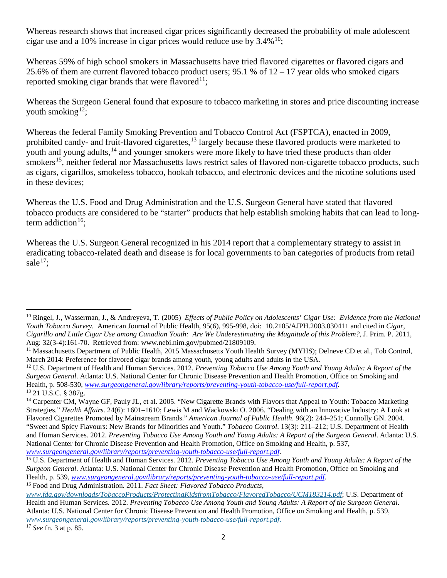Whereas research shows that increased cigar prices significantly decreased the probability of male adolescent cigar use and a 10% increase in cigar prices would reduce use by  $3.4\%$ <sup>10</sup>;

Whereas 59% of high school smokers in Massachusetts have tried flavored cigarettes or flavored cigars and 25.6% of them are current flavored tobacco product users; 95.1 % of 12 – 17 year olds who smoked cigars reported smoking cigar brands that were flavored<sup>[11](#page-1-1)</sup>;

Whereas the Surgeon General found that exposure to tobacco marketing in stores and price discounting increase youth smoking<sup>[12](#page-1-2)</sup>;

Whereas the federal Family Smoking Prevention and Tobacco Control Act (FSPTCA), enacted in 2009, prohibited candy- and fruit-flavored cigarettes,<sup>[13](#page-1-3)</sup> largely because these flavored products were marketed to youth and young adults,<sup>[14](#page-1-4)</sup> and younger smokers were more likely to have tried these products than older smokers<sup>15</sup>, neither federal nor Massachusetts laws restrict sales of flavored non-cigarette tobacco products, such as cigars, cigarillos, smokeless tobacco, hookah tobacco, and electronic devices and the nicotine solutions used in these devices;

Whereas the U.S. Food and Drug Administration and the U.S. Surgeon General have stated that flavored tobacco products are considered to be "starter" products that help establish smoking habits that can lead to long-term addiction<sup>[16](#page-1-6)</sup>:

Whereas the U.S. Surgeon General recognized in his 2014 report that a complementary strategy to assist in eradicating tobacco-related death and disease is for local governments to ban categories of products from retail sale $^{17}$  $^{17}$  $^{17}$ :

 $\overline{a}$ 

<span id="page-1-0"></span><sup>10</sup> Ringel, J., Wasserman, J., & Andreyeva, T. (2005) *Effects of Public Policy on Adolescents' Cigar Use: Evidence from the National Youth Tobacco Survey.* American Journal of Public Health, 95(6), 995-998, doi: 10.2105/AJPH.2003.030411 and cited in *Cigar, Cigarillo and Little Cigar Use among Canadian Youth: Are We Underestimating the Magnitude of this Problem?,* J. Prim. P. 2011, Aug: 32(3-4):161-70. Retrieved from: www.nebi.nim.gov/pubmed/21809109.

<span id="page-1-1"></span><sup>&</sup>lt;sup>11</sup> Massachusetts Department of Public Health, 2015 Massachusetts Youth Health Survey (MYHS); Delneve CD et al., Tob Control, March 2014: Preference for flavored cigar brands among youth, young adults and adults in the USA.

<span id="page-1-2"></span><sup>12</sup> U.S. Department of Health and Human Services. 2012. *Preventing Tobacco Use Among Youth and Young Adults: A Report of the Surgeon General*. Atlanta: U.S. National Center for Chronic Disease Prevention and Health Promotion, Office on Smoking and Health, p. 508-530, *[www.surgeongeneral.gov/library/reports/preventing-youth-tobacco-use/full-report.pdf](http://www.surgeongeneral.gov/library/reports/preventing-youth-tobacco-use/full-report.pdf)*. <sup>13</sup> 21 U.S.C. § 387g.

<span id="page-1-4"></span><span id="page-1-3"></span><sup>&</sup>lt;sup>14</sup> Carpenter CM, Wayne GF, Pauly JL, et al. 2005. "New Cigarette Brands with Flavors that Appeal to Youth: Tobacco Marketing Strategies." *Health Affairs*. 24(6): 1601–1610; Lewis M and Wackowski O. 2006. "Dealing with an Innovative Industry: A Look at Flavored Cigarettes Promoted by Mainstream Brands." *American Journal of Public Health*. 96(2): 244–251; Connolly GN. 2004. "Sweet and Spicy Flavours: New Brands for Minorities and Youth." *Tobacco Control*. 13(3): 211–212; U.S. Department of Health and Human Services. 2012. *Preventing Tobacco Use Among Youth and Young Adults: A Report of the Surgeon General*. Atlanta: U.S. National Center for Chronic Disease Prevention and Health Promotion, Office on Smoking and Health, p. 537, *[www.surgeongeneral.gov/library/reports/preventing-youth-tobacco-use/full-report.pdf](http://www.surgeongeneral.gov/library/reports/preventing-youth-tobacco-use/full-report.pdf)*.

<span id="page-1-5"></span><sup>15</sup> U.S. Department of Health and Human Services. 2012. *Preventing Tobacco Use Among Youth and Young Adults: A Report of the Surgeon General*. Atlanta: U.S. National Center for Chronic Disease Prevention and Health Promotion, Office on Smoking and Health, p. 539, *[www.surgeongeneral.gov/library/reports/preventing-youth-tobacco-use/full-report.pdf](http://www.surgeongeneral.gov/library/reports/preventing-youth-tobacco-use/full-report.pdf)*.

<span id="page-1-6"></span><sup>16</sup> Food and Drug Administration. 2011. *Fact Sheet: Flavored Tobacco Products*,

*[www.fda.gov/downloads/TobaccoProducts/ProtectingKidsfromTobacco/FlavoredTobacco/UCM183214.pdf](http://www.fda.gov/downloads/TobaccoProducts/ProtectingKidsfromTobacco/FlavoredTobacco/UCM183214.pdf)*; U.S. Department of Health and Human Services. 2012. *Preventing Tobacco Use Among Youth and Young Adults: A Report of the Surgeon General*. Atlanta: U.S. National Center for Chronic Disease Prevention and Health Promotion, Office on Smoking and Health, p. 539, *[www.surgeongeneral.gov/library/reports/preventing-youth-tobacco-use/full-report.pdf](http://www.surgeongeneral.gov/library/reports/preventing-youth-tobacco-use/full-report.pdf)*.

<span id="page-1-7"></span><sup>17</sup> *See* fn. 3 at p. 85.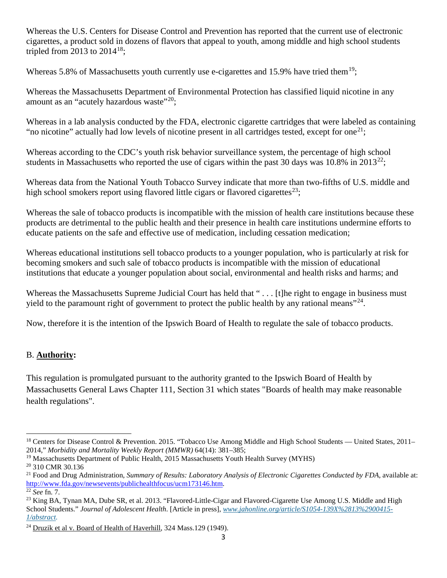Whereas the U.S. Centers for Disease Control and Prevention has reported that the current use of electronic cigarettes, a product sold in dozens of flavors that appeal to youth, among middle and high school students tripled from 2013 to  $2014^{18}$ ;

Whereas 5.8% of Massachusetts youth currently use e-cigarettes and 15.9% have tried them<sup>19</sup>:

Whereas the Massachusetts Department of Environmental Protection has classified liquid nicotine in any amount as an "acutely hazardous waste"<sup>[20](#page-2-2)</sup>;

Whereas in a lab analysis conducted by the FDA, electronic cigarette cartridges that were labeled as containing "no nicotine" actually had low levels of nicotine present in all cartridges tested, except for one<sup>21</sup>;

Whereas according to the CDC's youth risk behavior surveillance system, the percentage of high school students in Massachusetts who reported the use of cigars within the past 30 days was 10.8% in 2013<sup>[22](#page-2-4)</sup>;

Whereas data from the National Youth Tobacco Survey indicate that more than two-fifths of U.S. middle and high school smokers report using flavored little cigars or flavored cigarettes<sup>[23](#page-2-5)</sup>;

Whereas the sale of tobacco products is incompatible with the mission of health care institutions because these products are detrimental to the public health and their presence in health care institutions undermine efforts to educate patients on the safe and effective use of medication, including cessation medication;

Whereas educational institutions sell tobacco products to a younger population, who is particularly at risk for becoming smokers and such sale of tobacco products is incompatible with the mission of educational institutions that educate a younger population about social, environmental and health risks and harms; and

Whereas the Massachusetts Supreme Judicial Court has held that "... [t]he right to engage in business must yield to the paramount right of government to protect the public health by any rational means"<sup>24</sup>.

Now, therefore it is the intention of the Ipswich Board of Health to regulate the sale of tobacco products.

## B. **Authority:**

This regulation is promulgated pursuant to the authority granted to the Ipswich Board of Health by Massachusetts General Laws Chapter 111, Section 31 which states "Boards of health may make reasonable health regulations".

 $\overline{\phantom{a}}$ 

<span id="page-2-0"></span><sup>&</sup>lt;sup>18</sup> Centers for Disease Control & Prevention. 2015. "Tobacco Use Among Middle and High School Students — United States, 2011-2014," *Morbidity and Mortality Weekly Report (MMWR)* 64(14): 381–385;

<span id="page-2-1"></span><sup>&</sup>lt;sup>19</sup> Massachusetts Department of Public Health, 2015 Massachusetts Youth Health Survey (MYHS) <sup>20</sup> 310 CMR 30.136

<span id="page-2-3"></span><span id="page-2-2"></span><sup>&</sup>lt;sup>21</sup> Food and Drug Administration, *Summary of Results: Laboratory Analysis of Electronic Cigarettes Conducted by FDA*, available at: [http://www.fda.gov/newsevents/publichealthfocus/ucm173146.htm.](http://www.fda.gov/newsevents/publichealthfocus/ucm173146.htm)<br><sup>22</sup> *See* fn. 7.<br><sup>23</sup> King BA, Tynan MA, Dube SR, et al. 2013. "Flavored-Little-Cigar and Flavored-Cigarette Use Among U.S. Middle and High

<span id="page-2-4"></span>

<span id="page-2-5"></span>School Students." *Journal of Adolescent Health*. [Article in press], *[www.jahonline.org/article/S1054-139X%2813%2900415-](http://www.jahonline.org/article/S1054-139X%2813%2900415-1/abstract) [1/abstract.](http://www.jahonline.org/article/S1054-139X%2813%2900415-1/abstract)*

<span id="page-2-6"></span><sup>&</sup>lt;sup>24</sup> Druzik et al v. Board of Health of Haverhill, 324 Mass.129 (1949).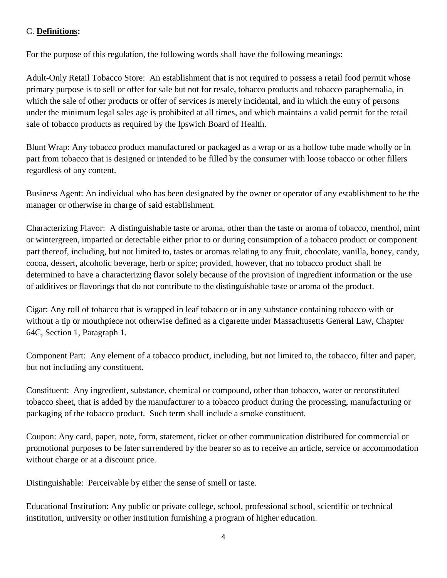#### C. **Definitions:**

For the purpose of this regulation, the following words shall have the following meanings:

Adult-Only Retail Tobacco Store: An establishment that is not required to possess a retail food permit whose primary purpose is to sell or offer for sale but not for resale, tobacco products and tobacco paraphernalia, in which the sale of other products or offer of services is merely incidental, and in which the entry of persons under the minimum legal sales age is prohibited at all times, and which maintains a valid permit for the retail sale of tobacco products as required by the Ipswich Board of Health.

Blunt Wrap: Any tobacco product manufactured or packaged as a wrap or as a hollow tube made wholly or in part from tobacco that is designed or intended to be filled by the consumer with loose tobacco or other fillers regardless of any content.

Business Agent: An individual who has been designated by the owner or operator of any establishment to be the manager or otherwise in charge of said establishment.

Characterizing Flavor: A distinguishable taste or aroma, other than the taste or aroma of tobacco, menthol, mint or wintergreen, imparted or detectable either prior to or during consumption of a tobacco product or component part thereof, including, but not limited to, tastes or aromas relating to any fruit, chocolate, vanilla, honey, candy, cocoa, dessert, alcoholic beverage, herb or spice; provided, however, that no tobacco product shall be determined to have a characterizing flavor solely because of the provision of ingredient information or the use of additives or flavorings that do not contribute to the distinguishable taste or aroma of the product.

Cigar: Any roll of tobacco that is wrapped in leaf tobacco or in any substance containing tobacco with or without a tip or mouthpiece not otherwise defined as a cigarette under Massachusetts General Law, Chapter 64C, Section 1, Paragraph 1.

Component Part: Any element of a tobacco product, including, but not limited to, the tobacco, filter and paper, but not including any constituent.

Constituent: Any ingredient, substance, chemical or compound, other than tobacco, water or reconstituted tobacco sheet, that is added by the manufacturer to a tobacco product during the processing, manufacturing or packaging of the tobacco product. Such term shall include a smoke constituent.

Coupon: Any card, paper, note, form, statement, ticket or other communication distributed for commercial or promotional purposes to be later surrendered by the bearer so as to receive an article, service or accommodation without charge or at a discount price.

Distinguishable: Perceivable by either the sense of smell or taste.

Educational Institution: Any public or private college, school, professional school, scientific or technical institution, university or other institution furnishing a program of higher education.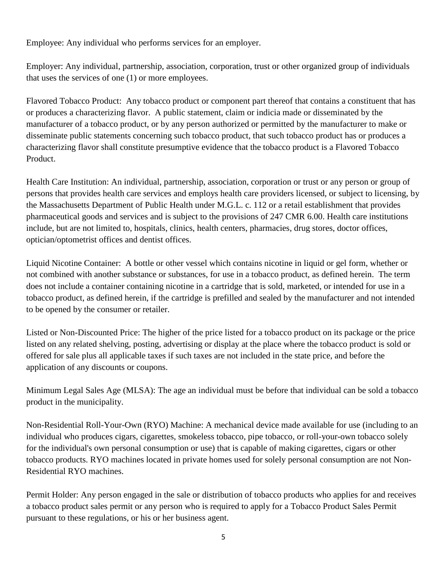Employee: Any individual who performs services for an employer.

Employer: Any individual, partnership, association, corporation, trust or other organized group of individuals that uses the services of one (1) or more employees.

Flavored Tobacco Product: Any tobacco product or component part thereof that contains a constituent that has or produces a characterizing flavor. A public statement, claim or indicia made or disseminated by the manufacturer of a tobacco product, or by any person authorized or permitted by the manufacturer to make or disseminate public statements concerning such tobacco product, that such tobacco product has or produces a characterizing flavor shall constitute presumptive evidence that the tobacco product is a Flavored Tobacco Product.

Health Care Institution: An individual, partnership, association, corporation or trust or any person or group of persons that provides health care services and employs health care providers licensed, or subject to licensing, by the Massachusetts Department of Public Health under M.G.L. c. 112 or a retail establishment that provides pharmaceutical goods and services and is subject to the provisions of 247 CMR 6.00. Health care institutions include, but are not limited to, hospitals, clinics, health centers, pharmacies, drug stores, doctor offices, optician/optometrist offices and dentist offices.

Liquid Nicotine Container: A bottle or other vessel which contains nicotine in liquid or gel form, whether or not combined with another substance or substances, for use in a tobacco product, as defined herein. The term does not include a container containing nicotine in a cartridge that is sold, marketed, or intended for use in a tobacco product, as defined herein, if the cartridge is prefilled and sealed by the manufacturer and not intended to be opened by the consumer or retailer.

Listed or Non-Discounted Price: The higher of the price listed for a tobacco product on its package or the price listed on any related shelving, posting, advertising or display at the place where the tobacco product is sold or offered for sale plus all applicable taxes if such taxes are not included in the state price, and before the application of any discounts or coupons.

Minimum Legal Sales Age (MLSA): The age an individual must be before that individual can be sold a tobacco product in the municipality.

Non-Residential Roll-Your-Own (RYO) Machine: A mechanical device made available for use (including to an individual who produces cigars, cigarettes, smokeless tobacco, pipe tobacco, or roll-your-own tobacco solely for the individual's own personal consumption or use) that is capable of making cigarettes, cigars or other tobacco products. RYO machines located in private homes used for solely personal consumption are not Non-Residential RYO machines.

Permit Holder: Any person engaged in the sale or distribution of tobacco products who applies for and receives a tobacco product sales permit or any person who is required to apply for a Tobacco Product Sales Permit pursuant to these regulations, or his or her business agent.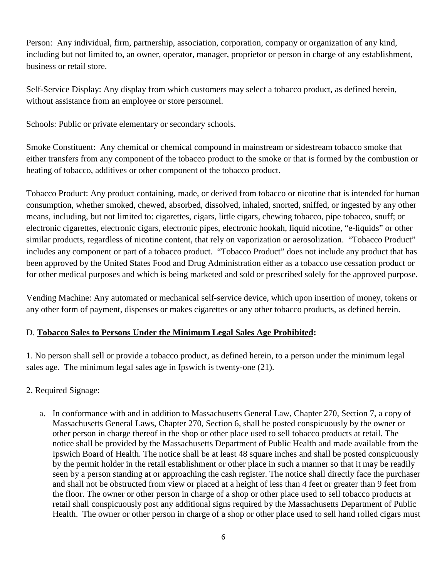Person: Any individual, firm, partnership, association, corporation, company or organization of any kind, including but not limited to, an owner, operator, manager, proprietor or person in charge of any establishment, business or retail store.

Self-Service Display: Any display from which customers may select a tobacco product, as defined herein, without assistance from an employee or store personnel.

Schools: Public or private elementary or secondary schools.

Smoke Constituent: Any chemical or chemical compound in mainstream or sidestream tobacco smoke that either transfers from any component of the tobacco product to the smoke or that is formed by the combustion or heating of tobacco, additives or other component of the tobacco product.

Tobacco Product: Any product containing, made, or derived from tobacco or nicotine that is intended for human consumption, whether smoked, chewed, absorbed, dissolved, inhaled, snorted, sniffed, or ingested by any other means, including, but not limited to: cigarettes, cigars, little cigars, chewing tobacco, pipe tobacco, snuff; or electronic cigarettes, electronic cigars, electronic pipes, electronic hookah, liquid nicotine, "e-liquids" or other similar products, regardless of nicotine content, that rely on vaporization or aerosolization. "Tobacco Product" includes any component or part of a tobacco product. "Tobacco Product" does not include any product that has been approved by the United States Food and Drug Administration either as a tobacco use cessation product or for other medical purposes and which is being marketed and sold or prescribed solely for the approved purpose.

Vending Machine: Any automated or mechanical self-service device, which upon insertion of money, tokens or any other form of payment, dispenses or makes cigarettes or any other tobacco products, as defined herein.

#### D. **Tobacco Sales to Persons Under the Minimum Legal Sales Age Prohibited:**

1. No person shall sell or provide a tobacco product, as defined herein, to a person under the minimum legal sales age. The minimum legal sales age in Ipswich is twenty-one (21).

- 2. Required Signage:
	- a. In conformance with and in addition to Massachusetts General Law, Chapter 270, Section 7, a copy of Massachusetts General Laws, Chapter 270, Section 6, shall be posted conspicuously by the owner or other person in charge thereof in the shop or other place used to sell tobacco products at retail. The notice shall be provided by the Massachusetts Department of Public Health and made available from the Ipswich Board of Health. The notice shall be at least 48 square inches and shall be posted conspicuously by the permit holder in the retail establishment or other place in such a manner so that it may be readily seen by a person standing at or approaching the cash register. The notice shall directly face the purchaser and shall not be obstructed from view or placed at a height of less than 4 feet or greater than 9 feet from the floor. The owner or other person in charge of a shop or other place used to sell tobacco products at retail shall conspicuously post any additional signs required by the Massachusetts Department of Public Health. The owner or other person in charge of a shop or other place used to sell hand rolled cigars must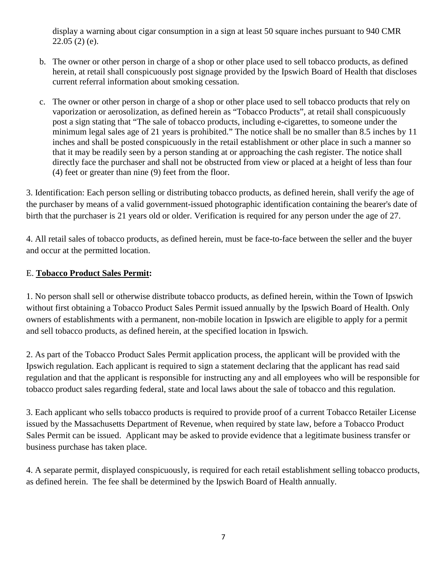display a warning about cigar consumption in a sign at least 50 square inches pursuant to 940 CMR 22.05 (2) (e).

- b. The owner or other person in charge of a shop or other place used to sell tobacco products, as defined herein, at retail shall conspicuously post signage provided by the Ipswich Board of Health that discloses current referral information about smoking cessation.
- c. The owner or other person in charge of a shop or other place used to sell tobacco products that rely on vaporization or aerosolization, as defined herein as "Tobacco Products", at retail shall conspicuously post a sign stating that "The sale of tobacco products, including e-cigarettes, to someone under the minimum legal sales age of 21 years is prohibited." The notice shall be no smaller than 8.5 inches by 11 inches and shall be posted conspicuously in the retail establishment or other place in such a manner so that it may be readily seen by a person standing at or approaching the cash register. The notice shall directly face the purchaser and shall not be obstructed from view or placed at a height of less than four (4) feet or greater than nine (9) feet from the floor.

3. Identification: Each person selling or distributing tobacco products, as defined herein, shall verify the age of the purchaser by means of a valid government-issued photographic identification containing the bearer's date of birth that the purchaser is 21 years old or older. Verification is required for any person under the age of 27.

4. All retail sales of tobacco products, as defined herein, must be face-to-face between the seller and the buyer and occur at the permitted location.

## E. **Tobacco Product Sales Permit:**

1. No person shall sell or otherwise distribute tobacco products, as defined herein, within the Town of Ipswich without first obtaining a Tobacco Product Sales Permit issued annually by the Ipswich Board of Health. Only owners of establishments with a permanent, non-mobile location in Ipswich are eligible to apply for a permit and sell tobacco products, as defined herein, at the specified location in Ipswich.

2. As part of the Tobacco Product Sales Permit application process, the applicant will be provided with the Ipswich regulation. Each applicant is required to sign a statement declaring that the applicant has read said regulation and that the applicant is responsible for instructing any and all employees who will be responsible for tobacco product sales regarding federal, state and local laws about the sale of tobacco and this regulation.

3. Each applicant who sells tobacco products is required to provide proof of a current Tobacco Retailer License issued by the Massachusetts Department of Revenue, when required by state law, before a Tobacco Product Sales Permit can be issued. Applicant may be asked to provide evidence that a legitimate business transfer or business purchase has taken place.

4. A separate permit, displayed conspicuously, is required for each retail establishment selling tobacco products, as defined herein. The fee shall be determined by the Ipswich Board of Health annually.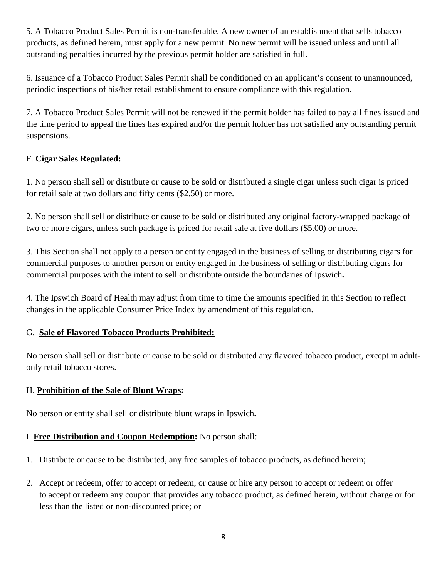5. A Tobacco Product Sales Permit is non-transferable. A new owner of an establishment that sells tobacco products, as defined herein, must apply for a new permit. No new permit will be issued unless and until all outstanding penalties incurred by the previous permit holder are satisfied in full.

6. Issuance of a Tobacco Product Sales Permit shall be conditioned on an applicant's consent to unannounced, periodic inspections of his/her retail establishment to ensure compliance with this regulation.

7. A Tobacco Product Sales Permit will not be renewed if the permit holder has failed to pay all fines issued and the time period to appeal the fines has expired and/or the permit holder has not satisfied any outstanding permit suspensions.

# F. **Cigar Sales Regulated:**

1. No person shall sell or distribute or cause to be sold or distributed a single cigar unless such cigar is priced for retail sale at two dollars and fifty cents (\$2.50) or more.

2. No person shall sell or distribute or cause to be sold or distributed any original factory-wrapped package of two or more cigars, unless such package is priced for retail sale at five dollars (\$5.00) or more.

3. This Section shall not apply to a person or entity engaged in the business of selling or distributing cigars for commercial purposes to another person or entity engaged in the business of selling or distributing cigars for commercial purposes with the intent to sell or distribute outside the boundaries of Ipswich**.**

4. The Ipswich Board of Health may adjust from time to time the amounts specified in this Section to reflect changes in the applicable Consumer Price Index by amendment of this regulation.

## G. **Sale of Flavored Tobacco Products Prohibited:**

No person shall sell or distribute or cause to be sold or distributed any flavored tobacco product, except in adultonly retail tobacco stores.

## H. **Prohibition of the Sale of Blunt Wraps:**

No person or entity shall sell or distribute blunt wraps in Ipswich**.**

## I. **Free Distribution and Coupon Redemption:** No person shall:

- 1. Distribute or cause to be distributed, any free samples of tobacco products, as defined herein;
- 2. Accept or redeem, offer to accept or redeem, or cause or hire any person to accept or redeem or offer to accept or redeem any coupon that provides any tobacco product, as defined herein, without charge or for less than the listed or non-discounted price; or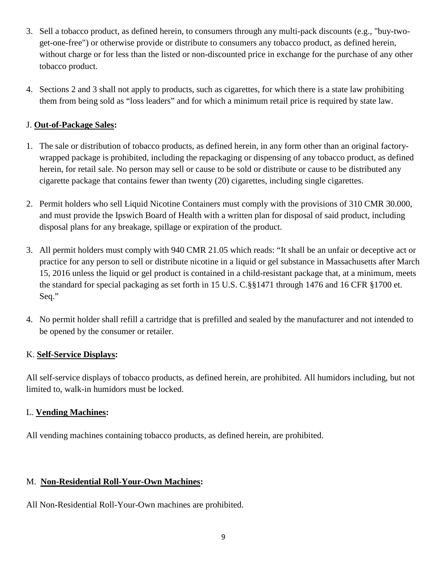- 3. Sell a tobacco product, as defined herein, to consumers through any multi-pack discounts (e.g., "buy-twoget-one-free") or otherwise provide or distribute to consumers any tobacco product, as defined herein, without charge or for less than the listed or non-discounted price in exchange for the purchase of any other tobacco product.
- 4. Sections 2 and 3 shall not apply to products, such as cigarettes, for which there is a state law prohibiting them from being sold as "loss leaders" and for which a minimum retail price is required by state law.

## J. **Out-of-Package Sales:**

- 1. The sale or distribution of tobacco products, as defined herein, in any form other than an original factorywrapped package is prohibited, including the repackaging or dispensing of any tobacco product, as defined herein, for retail sale. No person may sell or cause to be sold or distribute or cause to be distributed any cigarette package that contains fewer than twenty (20) cigarettes, including single cigarettes.
- 2. Permit holders who sell Liquid Nicotine Containers must comply with the provisions of 310 CMR 30.000, and must provide the Ipswich Board of Health with a written plan for disposal of said product, including disposal plans for any breakage, spillage or expiration of the product.
- 3. All permit holders must comply with 940 CMR 21.05 which reads: "It shall be an unfair or deceptive act or practice for any person to sell or distribute nicotine in a liquid or gel substance in Massachusetts after March 15, 2016 unless the liquid or gel product is contained in a child-resistant package that, at a minimum, meets the standard for special packaging as set forth in 15 U.S. C.§§1471 through 1476 and 16 CFR §1700 et. Seq."
- 4. No permit holder shall refill a cartridge that is prefilled and sealed by the manufacturer and not intended to be opened by the consumer or retailer.

#### K. **Self-Service Displays:**

All self-service displays of tobacco products, as defined herein, are prohibited. All humidors including, but not limited to, walk-in humidors must be locked.

## L. **Vending Machines:**

All vending machines containing tobacco products, as defined herein, are prohibited.

## M. **Non-Residential Roll-Your-Own Machines:**

All Non-Residential Roll-Your-Own machines are prohibited.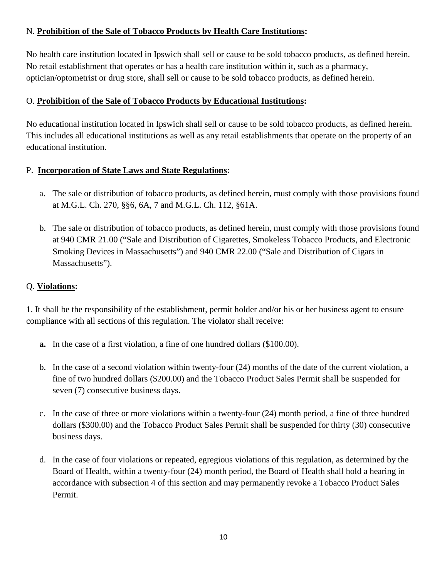## N. **Prohibition of the Sale of Tobacco Products by Health Care Institutions:**

No health care institution located in Ipswich shall sell or cause to be sold tobacco products, as defined herein. No retail establishment that operates or has a health care institution within it, such as a pharmacy, optician/optometrist or drug store, shall sell or cause to be sold tobacco products, as defined herein.

#### O. **Prohibition of the Sale of Tobacco Products by Educational Institutions:**

No educational institution located in Ipswich shall sell or cause to be sold tobacco products, as defined herein. This includes all educational institutions as well as any retail establishments that operate on the property of an educational institution.

#### P. **Incorporation of State Laws and State Regulations:**

- a. The sale or distribution of tobacco products, as defined herein, must comply with those provisions found at M.G.L. Ch. 270, §§6, 6A, 7 and M.G.L. Ch. 112, §61A.
- b. The sale or distribution of tobacco products, as defined herein, must comply with those provisions found at 940 CMR 21.00 ("Sale and Distribution of Cigarettes, Smokeless Tobacco Products, and Electronic Smoking Devices in Massachusetts") and 940 CMR 22.00 ("Sale and Distribution of Cigars in Massachusetts").

### Q. **Violations:**

1. It shall be the responsibility of the establishment, permit holder and/or his or her business agent to ensure compliance with all sections of this regulation. The violator shall receive:

- **a.** In the case of a first violation, a fine of one hundred dollars (\$100.00).
- b. In the case of a second violation within twenty-four (24) months of the date of the current violation, a fine of two hundred dollars (\$200.00) and the Tobacco Product Sales Permit shall be suspended for seven (7) consecutive business days.
- c. In the case of three or more violations within a twenty-four (24) month period, a fine of three hundred dollars (\$300.00) and the Tobacco Product Sales Permit shall be suspended for thirty (30) consecutive business days.
- d. In the case of four violations or repeated, egregious violations of this regulation, as determined by the Board of Health, within a twenty-four (24) month period, the Board of Health shall hold a hearing in accordance with subsection 4 of this section and may permanently revoke a Tobacco Product Sales Permit.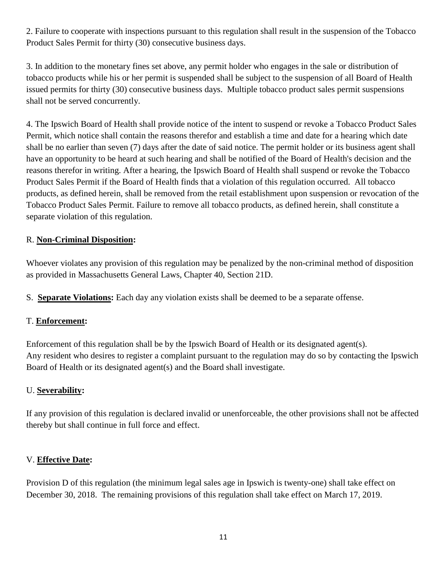2. Failure to cooperate with inspections pursuant to this regulation shall result in the suspension of the Tobacco Product Sales Permit for thirty (30) consecutive business days.

3. In addition to the monetary fines set above, any permit holder who engages in the sale or distribution of tobacco products while his or her permit is suspended shall be subject to the suspension of all Board of Health issued permits for thirty (30) consecutive business days. Multiple tobacco product sales permit suspensions shall not be served concurrently.

4. The Ipswich Board of Health shall provide notice of the intent to suspend or revoke a Tobacco Product Sales Permit, which notice shall contain the reasons therefor and establish a time and date for a hearing which date shall be no earlier than seven (7) days after the date of said notice. The permit holder or its business agent shall have an opportunity to be heard at such hearing and shall be notified of the Board of Health's decision and the reasons therefor in writing. After a hearing, the Ipswich Board of Health shall suspend or revoke the Tobacco Product Sales Permit if the Board of Health finds that a violation of this regulation occurred. All tobacco products, as defined herein, shall be removed from the retail establishment upon suspension or revocation of the Tobacco Product Sales Permit. Failure to remove all tobacco products, as defined herein, shall constitute a separate violation of this regulation.

#### R. **Non-Criminal Disposition:**

Whoever violates any provision of this regulation may be penalized by the non-criminal method of disposition as provided in Massachusetts General Laws, Chapter 40, Section 21D.

S. **Separate Violations:** Each day any violation exists shall be deemed to be a separate offense.

#### T. **Enforcement:**

Enforcement of this regulation shall be by the Ipswich Board of Health or its designated agent(s). Any resident who desires to register a complaint pursuant to the regulation may do so by contacting the Ipswich Board of Health or its designated agent(s) and the Board shall investigate.

#### U. **Severability:**

If any provision of this regulation is declared invalid or unenforceable, the other provisions shall not be affected thereby but shall continue in full force and effect.

#### V. **Effective Date:**

Provision D of this regulation (the minimum legal sales age in Ipswich is twenty-one) shall take effect on December 30, 2018. The remaining provisions of this regulation shall take effect on March 17, 2019.